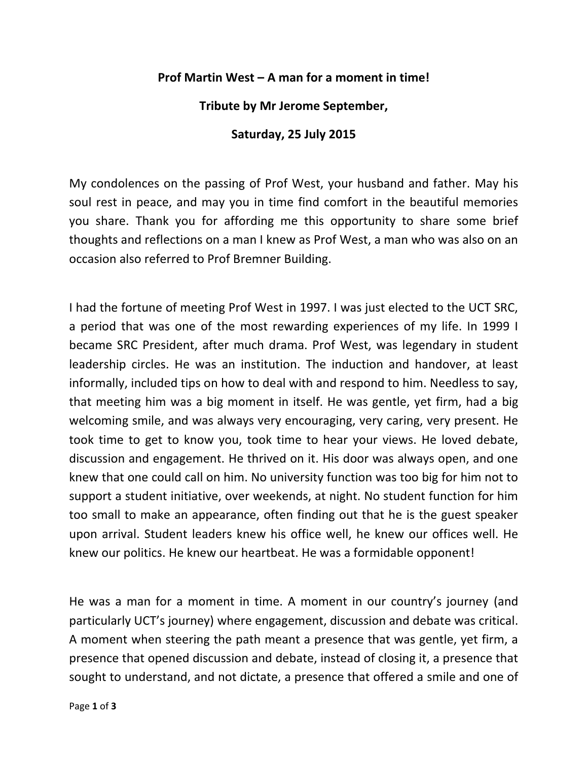## **Prof Martin West – A man for a moment in time!**

**Tribute by Mr Jerome September,**

## **Saturday, 25 July 2015**

My condolences on the passing of Prof West, your husband and father. May his soul rest in peace, and may you in time find comfort in the beautiful memories you share. Thank you for affording me this opportunity to share some brief thoughts and reflections on a man I knew as Prof West, a man who was also on an occasion also referred to Prof Bremner Building.

I had the fortune of meeting Prof West in 1997. I was just elected to the UCT SRC, a period that was one of the most rewarding experiences of my life. In 1999 I became SRC President, after much drama. Prof West, was legendary in student leadership circles. He was an institution. The induction and handover, at least informally, included tips on how to deal with and respond to him. Needless to say, that meeting him was a big moment in itself. He was gentle, yet firm, had a big welcoming smile, and was always very encouraging, very caring, very present. He took time to get to know you, took time to hear your views. He loved debate, discussion and engagement. He thrived on it. His door was always open, and one knew that one could call on him. No university function was too big for him not to support a student initiative, over weekends, at night. No student function for him too small to make an appearance, often finding out that he is the guest speaker upon arrival. Student leaders knew his office well, he knew our offices well. He knew our politics. He knew our heartbeat. He was a formidable opponent!

He was a man for a moment in time. A moment in our country's journey (and particularly UCT's journey) where engagement, discussion and debate was critical. A moment when steering the path meant a presence that was gentle, yet firm, a presence that opened discussion and debate, instead of closing it, a presence that sought to understand, and not dictate, a presence that offered a smile and one of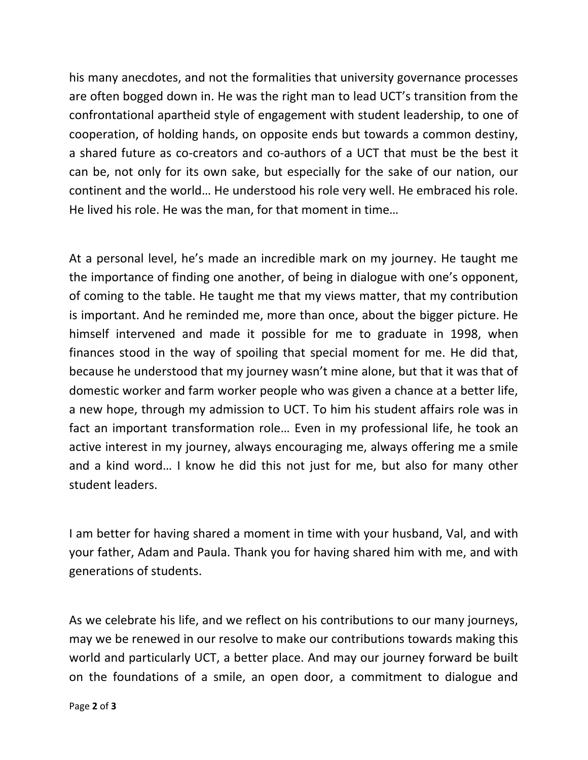his many anecdotes, and not the formalities that university governance processes are often bogged down in. He was the right man to lead UCT's transition from the confrontational apartheid style of engagement with student leadership, to one of cooperation, of holding hands, on opposite ends but towards a common destiny, a shared future as co-creators and co-authors of a UCT that must be the best it can be, not only for its own sake, but especially for the sake of our nation, our continent and the world… He understood his role very well. He embraced his role. He lived his role. He was the man, for that moment in time…

At a personal level, he's made an incredible mark on my journey. He taught me the importance of finding one another, of being in dialogue with one's opponent, of coming to the table. He taught me that my views matter, that my contribution is important. And he reminded me, more than once, about the bigger picture. He himself intervened and made it possible for me to graduate in 1998, when finances stood in the way of spoiling that special moment for me. He did that, because he understood that my journey wasn't mine alone, but that it was that of domestic worker and farm worker people who was given a chance at a better life, a new hope, through my admission to UCT. To him his student affairs role was in fact an important transformation role… Even in my professional life, he took an active interest in my journey, always encouraging me, always offering me a smile and a kind word… I know he did this not just for me, but also for many other student leaders.

I am better for having shared a moment in time with your husband, Val, and with your father, Adam and Paula. Thank you for having shared him with me, and with generations of students.

As we celebrate his life, and we reflect on his contributions to our many journeys, may we be renewed in our resolve to make our contributions towards making this world and particularly UCT, a better place. And may our journey forward be built on the foundations of a smile, an open door, a commitment to dialogue and